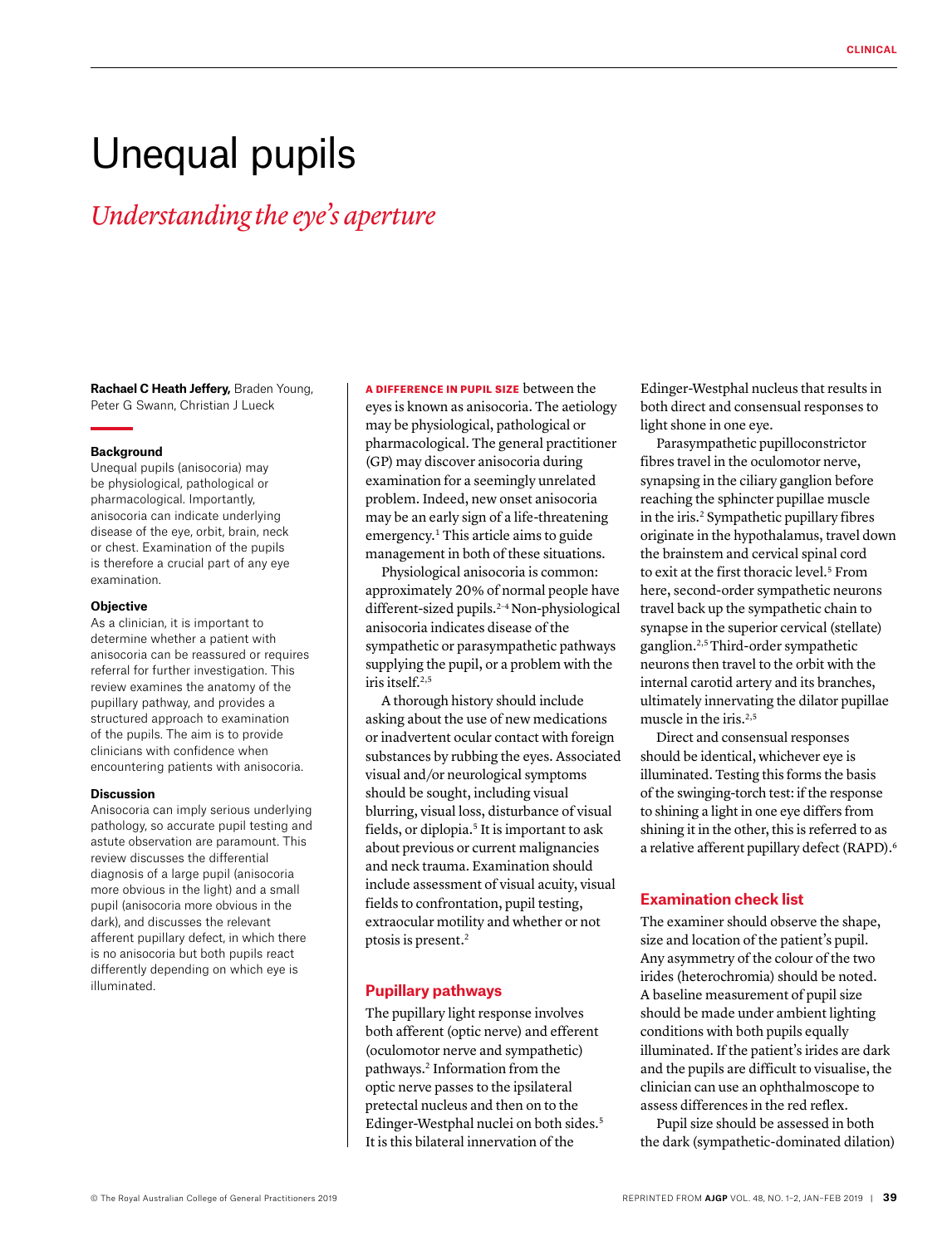# Unequal pupils

# *Understanding the eye's aperture*

**Rachael C Heath Jeffery,** Braden Young, Peter G Swann, Christian J Lueck

#### **Background**

Unequal pupils (anisocoria) may be physiological, pathological or pharmacological. Importantly, anisocoria can indicate underlying disease of the eye, orbit, brain, neck or chest. Examination of the pupils is therefore a crucial part of any eye examination.

#### **Objective**

As a clinician, it is important to determine whether a patient with anisocoria can be reassured or requires referral for further investigation. This review examines the anatomy of the pupillary pathway, and provides a structured approach to examination of the pupils. The aim is to provide clinicians with confidence when encountering patients with anisocoria.

#### **Discussion**

Anisocoria can imply serious underlying pathology, so accurate pupil testing and astute observation are paramount. This review discusses the differential diagnosis of a large pupil (anisocoria more obvious in the light) and a small pupil (anisocoria more obvious in the dark), and discusses the relevant afferent pupillary defect, in which there is no anisocoria but both pupils react differently depending on which eye is illuminated.

#### A DIFFERENCE IN PUPIL SIZE between the

eyes is known as anisocoria. The aetiology may be physiological, pathological or pharmacological. The general practitioner (GP) may discover anisocoria during examination for a seemingly unrelated problem. Indeed, new onset anisocoria may be an early sign of a life-threatening emergency.1 This article aims to guide management in both of these situations.

Physiological anisocoria is common: approximately 20% of normal people have different-sized pupils.<sup>2-4</sup> Non-physiological anisocoria indicates disease of the sympathetic or parasympathetic pathways supplying the pupil, or a problem with the iris itself.2,5

A thorough history should include asking about the use of new medications or inadvertent ocular contact with foreign substances by rubbing the eyes. Associated visual and/or neurological symptoms should be sought, including visual blurring, visual loss, disturbance of visual fields, or diplopia.5 It is important to ask about previous or current malignancies and neck trauma. Examination should include assessment of visual acuity, visual fields to confrontation, pupil testing, extraocular motility and whether or not ptosis is present.2

# **Pupillary pathways**

The pupillary light response involves both afferent (optic nerve) and efferent (oculomotor nerve and sympathetic) pathways.2 Information from the optic nerve passes to the ipsilateral pretectal nucleus and then on to the Edinger-Westphal nuclei on both sides.<sup>5</sup> It is this bilateral innervation of the

Edinger-Westphal nucleus that results in both direct and consensual responses to light shone in one eye.

Parasympathetic pupilloconstrictor fibres travel in the oculomotor nerve, synapsing in the ciliary ganglion before reaching the sphincter pupillae muscle in the iris.<sup>2</sup> Sympathetic pupillary fibres originate in the hypothalamus, travel down the brainstem and cervical spinal cord to exit at the first thoracic level.<sup>5</sup> From here, second-order sympathetic neurons travel back up the sympathetic chain to synapse in the superior cervical (stellate) ganglion.2,5 Third-order sympathetic neurons then travel to the orbit with the internal carotid artery and its branches, ultimately innervating the dilator pupillae muscle in the iris.<sup>2,5</sup>

Direct and consensual responses should be identical, whichever eye is illuminated. Testing this forms the basis of the swinging-torch test: if the response to shining a light in one eye differs from shining it in the other, this is referred to as a relative afferent pupillary defect (RAPD).<sup>6</sup>

# **Examination check list**

The examiner should observe the shape, size and location of the patient's pupil. Any asymmetry of the colour of the two irides (heterochromia) should be noted. A baseline measurement of pupil size should be made under ambient lighting conditions with both pupils equally illuminated. If the patient's irides are dark and the pupils are difficult to visualise, the clinician can use an ophthalmoscope to assess differences in the red reflex.

Pupil size should be assessed in both the dark (sympathetic-dominated dilation)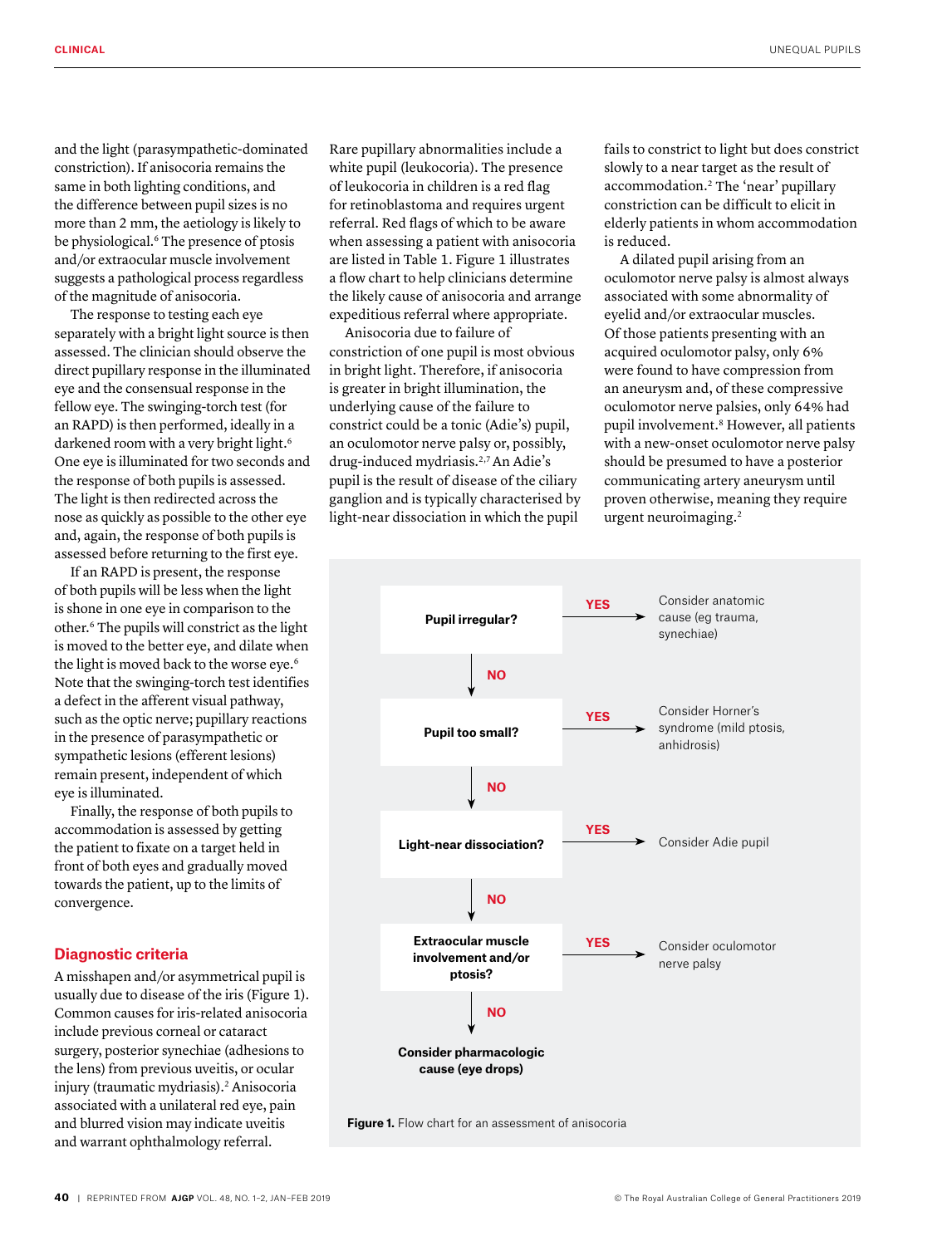and the light (parasympathetic-dominated constriction). If anisocoria remains the same in both lighting conditions, and the difference between pupil sizes is no more than 2 mm, the aetiology is likely to be physiological.<sup>6</sup> The presence of ptosis and/or extraocular muscle involvement suggests a pathological process regardless of the magnitude of anisocoria.

The response to testing each eye separately with a bright light source is then assessed. The clinician should observe the direct pupillary response in the illuminated eye and the consensual response in the fellow eye. The swinging-torch test (for an RAPD) is then performed, ideally in a darkened room with a very bright light.<sup>6</sup> One eye is illuminated for two seconds and the response of both pupils is assessed. The light is then redirected across the nose as quickly as possible to the other eye and, again, the response of both pupils is assessed before returning to the first eye.

If an RAPD is present, the response of both pupils will be less when the light is shone in one eye in comparison to the other.6 The pupils will constrict as the light is moved to the better eye, and dilate when the light is moved back to the worse eye.<sup>6</sup> Note that the swinging-torch test identifies a defect in the afferent visual pathway, such as the optic nerve; pupillary reactions in the presence of parasympathetic or sympathetic lesions (efferent lesions) remain present, independent of which eye is illuminated.

Finally, the response of both pupils to accommodation is assessed by getting the patient to fixate on a target held in front of both eyes and gradually moved towards the patient, up to the limits of convergence.

#### **Diagnostic criteria**

A misshapen and/or asymmetrical pupil is usually due to disease of the iris (Figure 1). Common causes for iris-related anisocoria include previous corneal or cataract surgery, posterior synechiae (adhesions to the lens) from previous uveitis, or ocular injury (traumatic mydriasis).2 Anisocoria associated with a unilateral red eye, pain and blurred vision may indicate uveitis and warrant ophthalmology referral.

Rare pupillary abnormalities include a white pupil (leukocoria). The presence of leukocoria in children is a red flag for retinoblastoma and requires urgent referral. Red flags of which to be aware when assessing a patient with anisocoria are listed in Table 1. Figure 1 illustrates a flow chart to help clinicians determine the likely cause of anisocoria and arrange expeditious referral where appropriate.

Anisocoria due to failure of constriction of one pupil is most obvious in bright light. Therefore, if anisocoria is greater in bright illumination, the underlying cause of the failure to constrict could be a tonic (Adie's) pupil, an oculomotor nerve palsy or, possibly, drug-induced mydriasis.2,7 An Adie's pupil is the result of disease of the ciliary ganglion and is typically characterised by light-near dissociation in which the pupil

fails to constrict to light but does constrict slowly to a near target as the result of accommodation.2 The 'near' pupillary constriction can be difficult to elicit in elderly patients in whom accommodation is reduced.

A dilated pupil arising from an oculomotor nerve palsy is almost always associated with some abnormality of eyelid and/or extraocular muscles. Of those patients presenting with an acquired oculomotor palsy, only 6% were found to have compression from an aneurysm and, of these compressive oculomotor nerve palsies, only 64% had pupil involvement.8 However, all patients with a new-onset oculomotor nerve palsy should be presumed to have a posterior communicating artery aneurysm until proven otherwise, meaning they require urgent neuroimaging.2

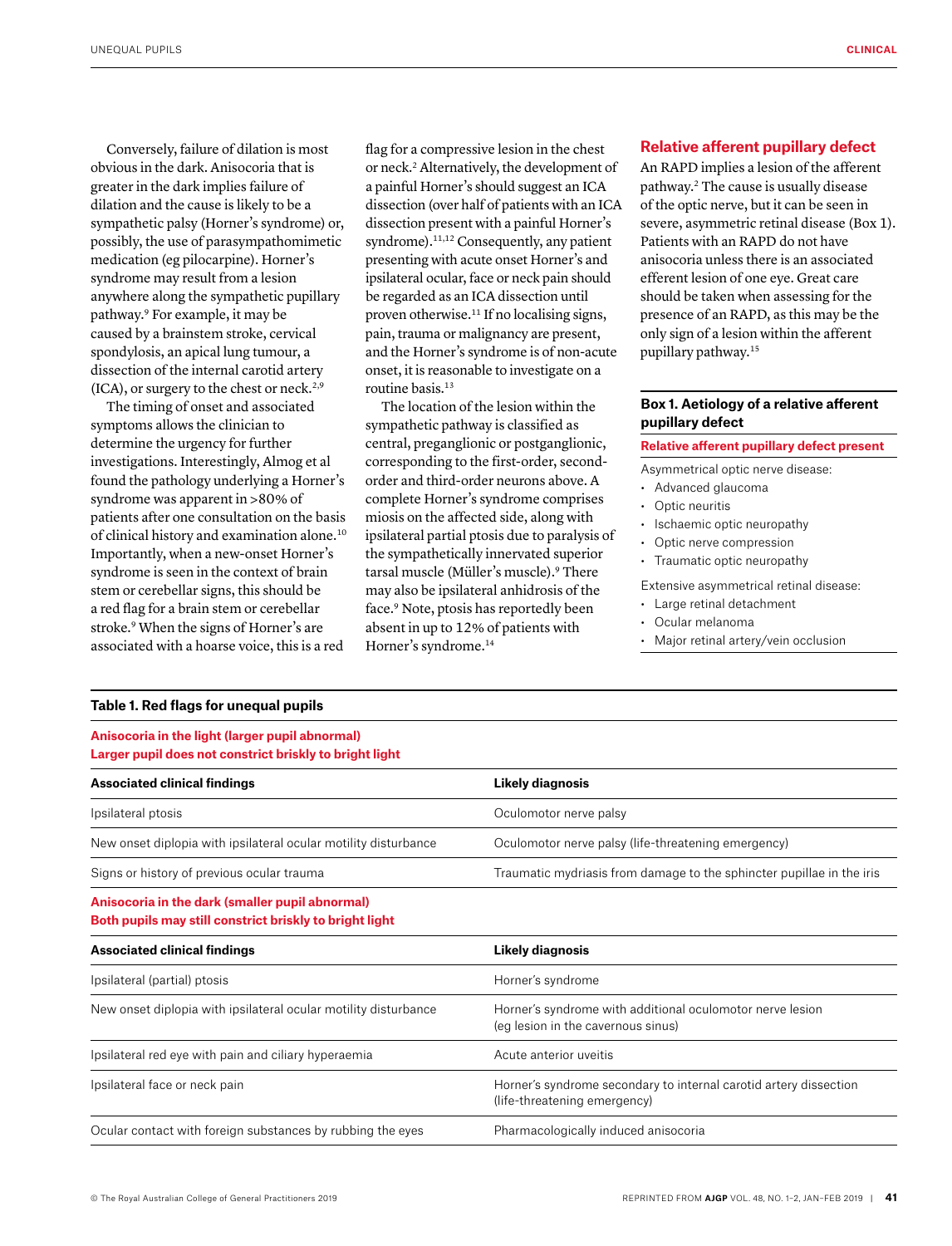Conversely, failure of dilation is most obvious in the dark. Anisocoria that is greater in the dark implies failure of dilation and the cause is likely to be a sympathetic palsy (Horner's syndrome) or, possibly, the use of parasympathomimetic medication (eg pilocarpine). Horner's syndrome may result from a lesion anywhere along the sympathetic pupillary pathway.9 For example, it may be caused by a brainstem stroke, cervical spondylosis, an apical lung tumour, a dissection of the internal carotid artery  $(ICA)$ , or surgery to the chest or neck.<sup>2,9</sup>

The timing of onset and associated symptoms allows the clinician to determine the urgency for further investigations. Interestingly, Almog et al found the pathology underlying a Horner's syndrome was apparent in >80% of patients after one consultation on the basis of clinical history and examination alone.10 Importantly, when a new-onset Horner's syndrome is seen in the context of brain stem or cerebellar signs, this should be a red flag for a brain stem or cerebellar stroke.<sup>9</sup> When the signs of Horner's are associated with a hoarse voice, this is a red

flag for a compressive lesion in the chest or neck.2 Alternatively, the development of a painful Horner's should suggest an ICA dissection (over half of patients with an ICA dissection present with a painful Horner's syndrome).<sup>11,12</sup> Consequently, any patient presenting with acute onset Horner's and ipsilateral ocular, face or neck pain should be regarded as an ICA dissection until proven otherwise.<sup>11</sup> If no localising signs, pain, trauma or malignancy are present, and the Horner's syndrome is of non-acute onset, it is reasonable to investigate on a routine basis.<sup>13</sup>

The location of the lesion within the sympathetic pathway is classified as central, preganglionic or postganglionic, corresponding to the first-order, secondorder and third-order neurons above. A complete Horner's syndrome comprises miosis on the affected side, along with ipsilateral partial ptosis due to paralysis of the sympathetically innervated superior tarsal muscle (Müller's muscle).<sup>9</sup> There may also be ipsilateral anhidrosis of the face.9 Note, ptosis has reportedly been absent in up to 12% of patients with Horner's syndrome.14

# **Relative afferent pupillary defect**

An RAPD implies a lesion of the afferent pathway.2 The cause is usually disease of the optic nerve, but it can be seen in severe, asymmetric retinal disease (Box 1). Patients with an RAPD do not have anisocoria unless there is an associated efferent lesion of one eye. Great care should be taken when assessing for the presence of an RAPD, as this may be the only sign of a lesion within the afferent pupillary pathway.15

# **Box 1. Aetiology of a relative afferent pupillary defect**

# **Relative afferent pupillary defect present**

Asymmetrical optic nerve disease:

- Advanced glaucoma
- Optic neuritis
- Ischaemic optic neuropathy
- Optic nerve compression
- Traumatic optic neuropathy

Extensive asymmetrical retinal disease:

- Large retinal detachment
- Ocular melanoma
- Major retinal artery/vein occlusion

## **Table 1. Red flags for unequal pupils**

**Anisocoria in the light (larger pupil abnormal) Larger pupil does not constrict briskly to bright light**

| <b>Associated clinical findings</b>                                                                        | Likely diagnosis                                                                                |
|------------------------------------------------------------------------------------------------------------|-------------------------------------------------------------------------------------------------|
| Ipsilateral ptosis                                                                                         | Oculomotor nerve palsy                                                                          |
| New onset diplopia with ipsilateral ocular motility disturbance                                            | Oculomotor nerve palsy (life-threatening emergency)                                             |
| Signs or history of previous ocular trauma                                                                 | Traumatic mydriasis from damage to the sphincter pupillae in the iris                           |
| Anisocoria in the dark (smaller pupil abnormal)<br>Both pupils may still constrict briskly to bright light |                                                                                                 |
| <b>Associated clinical findings</b>                                                                        | Likely diagnosis                                                                                |
| Ipsilateral (partial) ptosis                                                                               | Horner's syndrome                                                                               |
| New onset diplopia with ipsilateral ocular motility disturbance                                            | Horner's syndrome with additional oculomotor nerve lesion<br>(eq lesion in the cavernous sinus) |
| Ipsilateral red eye with pain and ciliary hyperaemia                                                       | Acute anterior uveitis                                                                          |

Ipsilateral face or neck pain Horner's syndrome secondary to internal carotid artery dissection (life-threatening emergency)

Ocular contact with foreign substances by rubbing the eyes Pharmacologically induced anisocoria